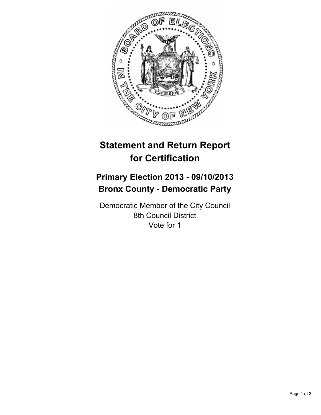

# **Statement and Return Report for Certification**

# **Primary Election 2013 - 09/10/2013 Bronx County - Democratic Party**

Democratic Member of the City Council 8th Council District Vote for 1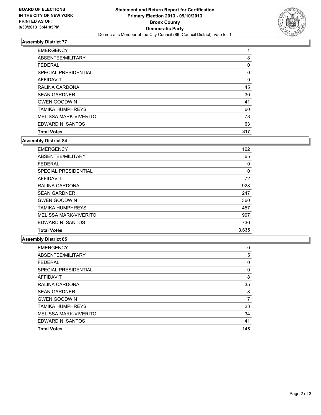

## **Assembly District 77**

| <b>EMERGENCY</b>             |     |
|------------------------------|-----|
| ABSENTEE/MILITARY            | 8   |
| <b>FEDERAL</b>               | 0   |
| SPECIAL PRESIDENTIAL         | 0   |
| <b>AFFIDAVIT</b>             | 9   |
| RALINA CARDONA               | 45  |
| <b>SEAN GARDNER</b>          | 30  |
| <b>GWEN GOODWIN</b>          | 41  |
| <b>TAMIKA HUMPHREYS</b>      | 60  |
| <b>MELISSA MARK-VIVERITO</b> | 78  |
| EDWARD N. SANTOS             | 63  |
| <b>Total Votes</b>           | 317 |

#### **Assembly District 84**

| <b>EMERGENCY</b>             | 102      |
|------------------------------|----------|
| ABSENTEE/MILITARY            | 65       |
| <b>FEDERAL</b>               | 0        |
| SPECIAL PRESIDENTIAL         | $\Omega$ |
| <b>AFFIDAVIT</b>             | 72       |
| RALINA CARDONA               | 928      |
| <b>SEAN GARDNER</b>          | 247      |
| <b>GWEN GOODWIN</b>          | 360      |
| <b>TAMIKA HUMPHREYS</b>      | 457      |
| <b>MELISSA MARK-VIVERITO</b> | 907      |
| EDWARD N. SANTOS             | 736      |
| <b>Total Votes</b>           | 3,635    |

### **Assembly District 85**

| <b>EMERGENCY</b>             | 0   |
|------------------------------|-----|
| ABSENTEE/MILITARY            | 5   |
| <b>FEDERAL</b>               | 0   |
| SPECIAL PRESIDENTIAL         | 0   |
| AFFIDAVIT                    | 8   |
| RALINA CARDONA               | 35  |
| <b>SEAN GARDNER</b>          | 8   |
| <b>GWEN GOODWIN</b>          | 7   |
| <b>TAMIKA HUMPHREYS</b>      | 23  |
| <b>MELISSA MARK-VIVERITO</b> | 34  |
| EDWARD N. SANTOS             | 41  |
| <b>Total Votes</b>           | 148 |
|                              |     |